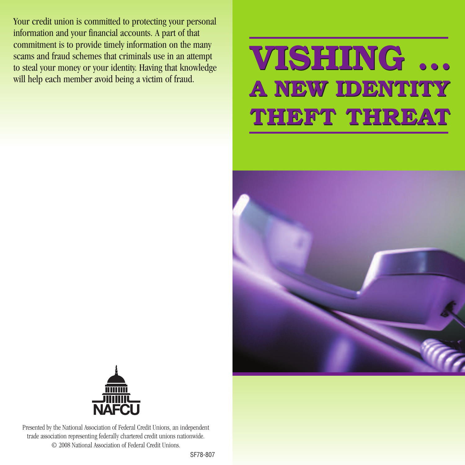Your credit union is committed to protecting your personal information and your financial accounts. A part of that commitment is to provide timely information on the many scams and fraud schemes that criminals use in an attempt to steal your money or your identity. Having that knowledge will help each member avoid being a victim of fraud.

## **VISHING ... VISHING ... A NEW IDENTITY A NEW IDENTITY THEFT THREAT THEFT THREAT**





Presented by the National Association of Federal Credit Unions, an independent trade association representing federally chartered credit unions nationwide. © 2008 National Association of Federal Credit Unions.